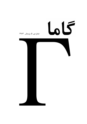

# شماره ی ِ ۵، زمستان ِ ۱۳۸۳

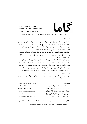شماره ی ـ ۵، زمستان ـ ۱۳۸۳ صاحب امتیاز و مدیر به مسئول: امیر به آقامحمّدی تهران، صندوق عستی ۱۹۹۳۵/۲۳۳

15

www.gammajournal.com

editors@gammajournal.com

### به نام خدا

**ISSN 1735.1286** 

**•** گاما فصل نامه ای است به زبان <sub>-</sub> فارسی، در باره ی ِ فیزیک ِ آن چه در گاما منتشر می شود بیش تر مقالهها ی ِ آموزشی، در زمیننه ی ِ فرهنگ یا تاریخ ِ فیزیک، یا در مورد ِ مسائل ِ فیزیک در ایران است، و قرار است جنبه ی ِ آموزشی و فرهنگی داشته باشد و برای دانشجویان ِ فیزیک پا دانش آموخته گان <sub>-</sub> فیزیک، یا دستِکم بخش ی از آنها قابل|ستفاده باشد. ● مقالههای گاما نوعاً تألیفی اند. سعی بر این است که فقط مقالهها ی ِ کلاسیک ِ فیزیک، و نوشتهها ی ِ فیزیک پیشهها ی ِ بزرگ ترجمه شود. اگر میخواهید چیز ی را ترجمه کنید، لطفاً اول با هیئت \_ ویراستا,ان تماس بگیرید. • برا ی ِ تماس با گاما، و از جمله فرستادن ِ مقاله، لطفاً با یک ی از ویراستاران ِ گاما تماس بگیر ید. • پذیرش ِ مقاله با هیئت ِ ویراستاران و بر اساس ِ روش ِ متداول ِ داوری توسّط ِ داور ِ ناشناس است. هیئت <sub>-</sub> ویراستاران یا مقاله را می پذیرد، یا رد میکند، امّا هرگز در نوشته ی ِ نویسنده دخل و تصرّف ی نمیکند. اگر به نظر ِ داور تغییر ی در مقاله لازم باشد، اعمال ِ این تغییر با خود ِ نویسنده(ها) است. • مقاله ی پذیرفته شده، پیش از چاپ، بر اساس ِ آخرین نسخه ای که نویسنده فرستاده حروفچینی مے شود و پس از تأیید \_ نویسندہ است که چاپ مے شود . • © تمام ِ حقوق ِ مادّي و معنوي ي ِ آن چه در گاما منتشر ميشود متعلق است به گاما، مگر در موارد ی که صراحتاً مشخّص شده باشد.

ويراستاران : editors@gammajournal.com • امیر - آقامحمّدی، دانش گاه - الزّهرا، تهران mohamadi@gammajournal.com • احمد ِ شریعتی (سردبیر)، دانشگاه ِ الزّهرا، تهران shariati@mailaps.org • عزیزاله ِ شفیعخانی، دانشگاه ِ الزّهرا، تهران ashafie@gammajournal.com • امیرحسین ِ فتحاللهی، دانشگاه ِ الزّهرا، تهران fatho@mail.cern.ch • کامران کاویانی، دانش گاه پالزّهرا، تهران kaviani@gammajournal.com

قيمت ٥٥٥٠ تومان. تاریخ \_ انتشار ١٣٨٣/١١/١٥  $^1$  شمارگان : ۱۰۰۰ نسخه <sup>1</sup> ليتوگرافي چاپ و صحافي: سازمان چاپ و انتشارات و زارت فرهنگ و ارشاد اسلامي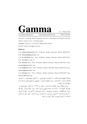www.gammajournal.com

editors@gammajournal.com

**ISSN 1735.1286** 

Gamma is a quarterly Persian magazine, devoted to educational and cultural articles in physics. Gamma is not a research journal.

Address: Gamma, P. O. Box 633, Tehran 19935, IRAN.

(c) 2004, Gamma, all rights reserved

### Editors

• A. Aghamohammadi Prof. of Physics, Alzahra University, Tehran 19938-91167, Iran. mohamadi@gammajournal.com

• A. H. Fatollahi Asoc. Prof. of Physics, Alzahra University, Tehran 19938-91167. Iran. fatho@mail.cern.ch

• K. Kaviani Asoc. Prof. of Physics, Alzahra University, Tehran 19938-91167, Iran. kaviani@gammajournal.com

• A. Shafikhani Asoc. Prof. of Physics, Alzahra University, Tehran 19938-91167, Iran. ashafie@gammajournal.com

. A. Shariati Asoc. Prof. of Physics, Alzahra University, Tehran 19938-91167, Iran. shariati@mailaps.org

اشتراک (چهار شماره) عادّی ٥٥٥٥ تومان، دانشجویی ٢٥٥٥ تومان، مؤسسهها ٦٥٥٥ تومان. اشتراک با یُست ِ عادّی است. برا ی ِ اشتراک با یُست ِ سفارشی، یا خارج از ایران، با یک ی از وپراستاران تماس بگیرید.

برا ی ِ اشتراک، پول ِ اشتراک را به حساب ِ شماره ی ِ ۲۳۷۹ ه ۸۰ ، بانک ِ ملّه ِ ، شعبه ی دانش گاه \_ الّزهرا (کد \_ ٢٢١) به نام \_ احمد شریعتی، بریزید. اصل \_ رسید \_ بانک را پیش \_ خود نگه دارید، و این اطلاعات ِ را برای ی ِ ما بفرستید: ۱) اسم ِ واریزکننده، ۲) اسم و کد ِ شعبه ای که پول در آن واریز شده است، ۳) تاریخ <sub>-</sub> واریز کردن، ۴) شماره ی ِ رسید، ۵) عدد ِ دقیق ِ پول ی که واریز شده است، ٦) اسم و نشانبي ي\_ کامل \_ گيرنده ي\_ مجله .